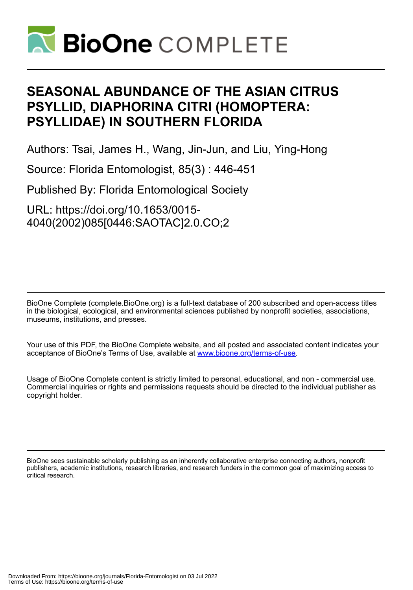

# **SEASONAL ABUNDANCE OF THE ASIAN CITRUS PSYLLID, DIAPHORINA CITRI (HOMOPTERA: PSYLLIDAE) IN SOUTHERN FLORIDA**

Authors: Tsai, James H., Wang, Jin-Jun, and Liu, Ying-Hong

Source: Florida Entomologist, 85(3) : 446-451

Published By: Florida Entomological Society

URL: https://doi.org/10.1653/0015- 4040(2002)085[0446:SAOTAC]2.0.CO;2

BioOne Complete (complete.BioOne.org) is a full-text database of 200 subscribed and open-access titles in the biological, ecological, and environmental sciences published by nonprofit societies, associations, museums, institutions, and presses.

Your use of this PDF, the BioOne Complete website, and all posted and associated content indicates your acceptance of BioOne's Terms of Use, available at www.bioone.org/terms-of-use.

Usage of BioOne Complete content is strictly limited to personal, educational, and non - commercial use. Commercial inquiries or rights and permissions requests should be directed to the individual publisher as copyright holder.

BioOne sees sustainable scholarly publishing as an inherently collaborative enterprise connecting authors, nonprofit publishers, academic institutions, research libraries, and research funders in the common goal of maximizing access to critical research.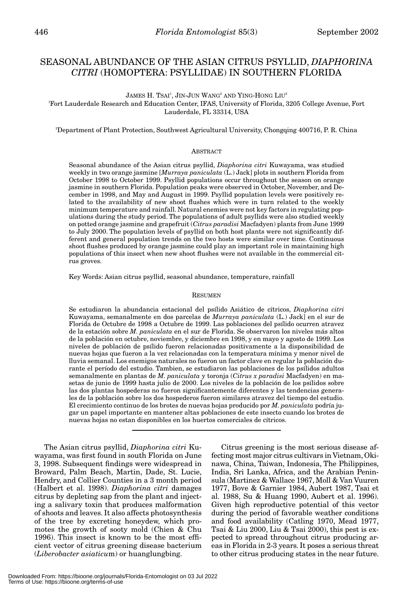# SEASONAL ABUNDANCE OF THE ASIAN CITRUS PSYLLID, *DIAPHORINA CITRI* (HOMOPTERA: PSYLLIDAE) IN SOUTHERN FLORIDA

# $\rm JAMES$  H. TSA1<sup>1</sup>,  $\rm JIN$ - $\rm JUN$   $\rm WANG^2$  and  $\rm YING$ - $\rm HONG$   $\rm LIU^2$

1 Fort Lauderdale Research and Education Center, IFAS, University of Florida, 3205 College Avenue, Fort Lauderdale, FL 33314, USA

2 Department of Plant Protection, Southwest Agricultural University, Chongqing 400716, P. R. China

# ABSTRACT

Seasonal abundance of the Asian citrus psyllid, *Diaphorina citri* Kuwayama, was studied weekly in two orange jasmine [*Murraya paniculata* (L.) Jack] plots in southern Florida from October 1998 to October 1999. Psyllid populations occur throughout the season on orange jasmine in southern Florida. Population peaks were observed in October, November, and December in 1998, and May and August in 1999. Psyllid population levels were positively related to the availability of new shoot flushes which were in turn related to the weekly minimum temperature and rainfall. Natural enemies were not key factors in regulating populations during the study period. The populations of adult psyllids were also studied weekly on potted orange jasmine and grapefruit (*Citrus paradisi* Macfadyen) plants from June 1999 to July 2000. The population levels of psyllid on both host plants were not significantly different and general population trends on the two hosts were similar over time. Continuous shoot flushes produced by orange jasmine could play an important role in maintaining high populations of this insect when new shoot flushes were not available in the commercial citrus groves.

Key Words: Asian citrus psyllid, seasonal abundance, temperature, rainfall

#### RESUMEN

Se estudiaron la abundancia estacional del psílido Asiático de cítricos, *Diaphorina citri* Kuwayama, semanalmente en dos parcelas de *Murraya paniculata* (L.) Jack] en el sur de Florida de Octubre de 1998 a Octubre de 1999. Las poblaciones del psílido ocurren atravez de la estación sobre *M. paniculata* en el sur de Florida. Se observaron los niveles más altos de la población en octubre, noviembre, y diciembre en 1998, y en mayo y agosto de 1999. Los niveles de población de psílido fueron relacionadas positivamente a la disponsibilidad de nuevas hojas que fueron a la vez relacionadas con la temperatura mínima y menor nivel de lluvia semanal. Los enemigos naturales no fueron un factor clave en regular la población durante el período del estudio. Tambien, se estudiaron las poblaciones de los psílidos adultos semanalmente en plantas de *M. paniculata* y toronja (*Citrus x paradisi* Macfadyen) en masetas de junio de 1999 hasta julio de 2000. Los niveles de la población de los psílidos sobre las dos plantas hospederas no fueron significantemente diferentes y las tendencias generales de la población sobre los dos hospederos fueron similares atravez del tiempo del estudio. El crecimiento continuo de los brotes de nuevas hojas producido por *M. paniculata* podría jugar un papel importante en mantener altas poblaciones de este insecto cuando los brotes de nuevas hojas no estan disponibles en los huertos comerciales de cítricos.

The Asian citrus psyllid, *Diaphorina citri* Kuwayama, was first found in south Florida on June 3, 1998. Subsequent findings were widespread in Broward, Palm Beach, Martin, Dade, St. Lucie, Hendry, and Collier Counties in a 3 month period (Halbert et al. 1998). *Diaphorina citri* damages citrus by depleting sap from the plant and injecting a salivary toxin that produces malformation of shoots and leaves. It also affects photosynthesis of the tree by excreting honeydew, which promotes the growth of sooty mold (Chien & Chu 1996). This insect is known to be the most efficient vector of citrus greening disease bacterium (*Liberobacter asiaticu*m) or huanglungbing.

Citrus greening is the most serious disease affecting most major citrus cultivars in Vietnam, Okinawa, China, Taiwan, Indonesia, The Philippines, India, Sri Lanka, Africa, and the Arabian Peninsula (Martinez & Wallace 1967, Moll & Van Vuuren 1977, Bove & Garnier 1984, Aubert 1987, Tsai et al. 1988, Su & Huang 1990, Aubert et al. 1996). Given high reproductive potential of this vector during the period of favorable weather conditions and food availability (Catling 1970, Mead 1977, Tsai & Liu 2000, Liu & Tsai 2000), this pest is expected to spread throughout citrus producing areas in Florida in 2-3 years. It poses a serious threat to other citrus producing states in the near future.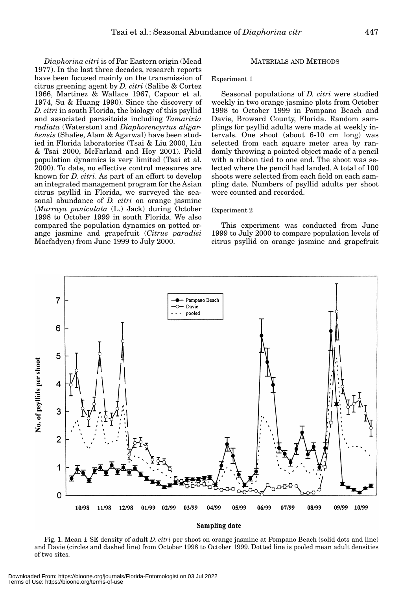*Diaphorina citri* is of Far Eastern origin (Mead 1977). In the last three decades, research reports have been focused mainly on the transmission of citrus greening agent by *D. citri* (Salibe & Cortez 1966, Martinez & Wallace 1967, Capoor et al. 1974, Su & Huang 1990). Since the discovery of *D. citri* in south Florida, the biology of this psyllid and associated parasitoids including *Tamarixia radiata* (Waterston) and *Diaphorencyrtus aligarhensis* (Shafee, Alam & Agarwal) have been studied in Florida laboratories (Tsai & Liu 2000, Liu & Tsai 2000, McFarland and Hoy 2001). Field population dynamics is very limited (Tsai et al. 2000). To date, no effective control measures are known for *D. citri*. As part of an effort to develop an integrated management program for the Asian citrus psyllid in Florida, we surveyed the seasonal abundance of *D. citri* on orange jasmine (*Murraya paniculata* (L.) Jack) during October 1998 to October 1999 in south Florida. We also compared the population dynamics on potted orange jasmine and grapefruit (*Citrus paradisi* Macfadyen) from June 1999 to July 2000.

#### MATERIALS AND METHODS

#### Experiment 1

Seasonal populations of *D. citri* were studied weekly in two orange jasmine plots from October 1998 to October 1999 in Pompano Beach and Davie, Broward County, Florida. Random samplings for psyllid adults were made at weekly intervals. One shoot (about 6-10 cm long) was selected from each square meter area by randomly throwing a pointed object made of a pencil with a ribbon tied to one end. The shoot was selected where the pencil had landed. A total of 100 shoots were selected from each field on each sampling date. Numbers of psyllid adults per shoot were counted and recorded.

## Experiment 2

This experiment was conducted from June 1999 to July 2000 to compare population levels of citrus psyllid on orange jasmine and grapefruit



Fig. 1. Mean ± SE density of adult *D. citri* per shoot on orange jasmine at Pompano Beach (solid dots and line) and Davie (circles and dashed line) from October 1998 to October 1999. Dotted line is pooled mean adult densities of two sites.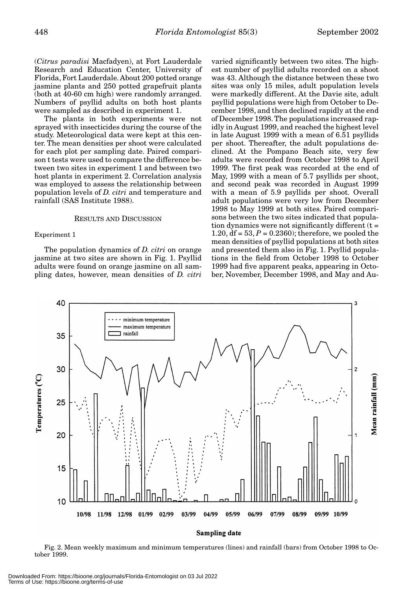(*Citrus paradisi* Macfadyen), at Fort Lauderdale Research and Education Center, University of Florida, Fort Lauderdale. About 200 potted orange jasmine plants and 250 potted grapefruit plants (both at 40-60 cm high) were randomly arranged. Numbers of psyllid adults on both host plants were sampled as described in experiment 1.

The plants in both experiments were not sprayed with insecticides during the course of the study. Meteorological data were kept at this center. The mean densities per shoot were calculated for each plot per sampling date. Paired comparison t tests were used to compare the difference between two sites in experiment 1 and between two host plants in experiment 2. Correlation analysis was employed to assess the relationship between population levels of *D. citri* and temperature and rainfall (SAS Institute 1988).

#### RESULTS AND DISCUSSION

#### Experiment 1

The population dynamics of *D. citri* on orange jasmine at two sites are shown in Fig. 1. Psyllid adults were found on orange jasmine on all sampling dates, however, mean densities of *D. citri*

varied significantly between two sites. The highest number of psyllid adults recorded on a shoot was 43. Although the distance between these two sites was only 15 miles, adult population levels were markedly different. At the Davie site, adult psyllid populations were high from October to December 1998, and then declined rapidly at the end of December 1998. The populations increased rapidly in August 1999, and reached the highest level in late August 1999 with a mean of 6.51 psyllids per shoot. Thereafter, the adult populations declined. At the Pompano Beach site, very few adults were recorded from October 1998 to April 1999. The first peak was recorded at the end of May, 1999 with a mean of 5.7 psyllids per shoot, and second peak was recorded in August 1999 with a mean of 5.9 psyllids per shoot. Overall adult populations were very low from December 1998 to May 1999 at both sites. Paired comparisons between the two sites indicated that population dynamics were not significantly different  $(t =$ 1.20, df = 53, *P* = 0.2360); therefore, we pooled the mean densities of psyllid populations at both sites and presented them also in Fig. 1. Psyllid populations in the field from October 1998 to October 1999 had five apparent peaks, appearing in October, November, December 1998, and May and Au-



Fig. 2. Mean weekly maximum and minimum temperatures (lines) and rainfall (bars) from October 1998 to October 1999.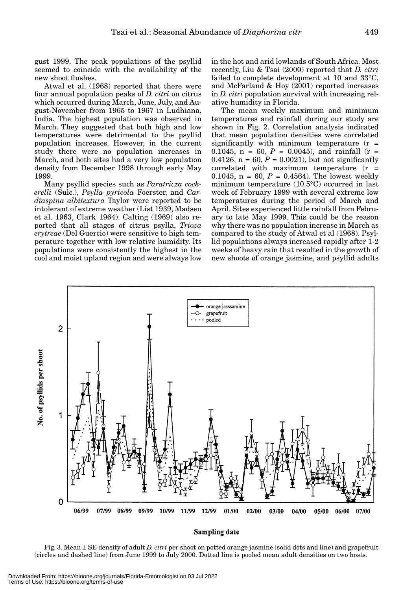gust 1999. The peak populations of the psyllid seemed to coincide with the availability of the new shoot flushes.

Atwal et al. (1968) reported that there were four annual population peaks of *D. citri* on citrus which occurred during March, June, July, and August-November from 1965 to 1967 in Ludhiana, India. The highest population was observed in March. They suggested that both high and low temperatures were detrimental to the psyllid population increases. However, in the current study there were no population increases in March, and both sites had a very low population density from December 1998 through early May 1999.

Many psyllid species such as *Paratricza cockerelli* (Sulc.), *Psylla pyricola* Foerster, and *Cardiaspina albitextura* Taylor were reported to be intolerant of extreme weather (List 1939, Madsen et al. 1963, Clark 1964). Calting (1969) also reported that all stages of citrus psylla, *Trioza erytreae* (Del Guercio) were sensitive to high temperature together with low relative humidity. Its populations were consistently the highest in the cool and moist upland region and were always low in the hot and arid lowlands of South Africa. Most recently, Liu & Tsai (2000) reported that *D. citri* failed to complete development at 10 and 33°C, and McFarland & Hoy (2001) reported increases in *D. citri* population survival with increasing relative humidity in Florida.

The mean weekly maximum and minimum temperatures and rainfall during our study are shown in Fig. 2. Correlation analysis indicated that mean population densities were correlated significantly with minimum temperature  $(r =$ 0.1045, n = 60,  $P = 0.0045$ ), and rainfall (r = 0.4126,  $n = 60, P = 0.0021$ , but not significantly correlated with maximum temperature (r = 0.1045,  $n = 60$ ,  $P = 0.4564$ ). The lowest weekly minimum temperature (10.5°C) occurred in last week of February 1999 with several extreme low temperatures during the period of March and April. Sites experienced little rainfall from February to late May 1999. This could be the reason why there was no population increase in March as compared to the study of Atwal et al (1968). Psyllid populations always increased rapidly after 1-2 weeks of heavy rain that resulted in the growth of new shoots of orange jasmine, and psyllid adults



# Sampling date

Fig. 3. Mean ± SE density of adult *D. citri* per shoot on potted orange jasmine (solid dots and line) and grapefruit (circles and dashed line) from June 1999 to July 2000. Dotted line is pooled mean adult densities on two hosts.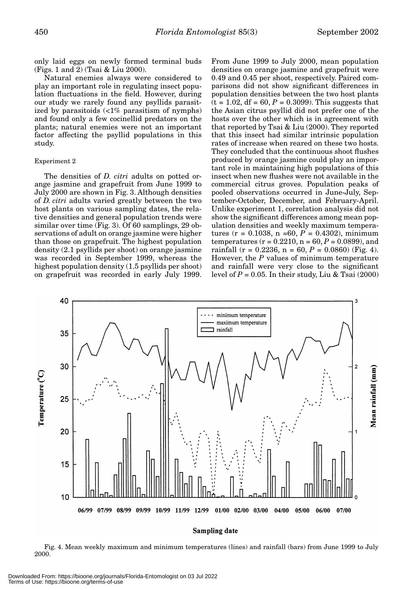only laid eggs on newly formed terminal buds (Figs. 1 and 2) (Tsai & Liu 2000).

Natural enemies always were considered to play an important role in regulating insect population fluctuations in the field. However, during our study we rarely found any psyllids parasitized by parasitoids (<1% parasitism of nymphs) and found only a few cocinellid predators on the plants; natural enemies were not an important factor affecting the psyllid populations in this study.

# Experiment 2

The densities of *D. citri* adults on potted orange jasmine and grapefruit from June 1999 to July 2000 are shown in Fig. 3. Although densities of *D. citri* adults varied greatly between the two host plants on various sampling dates, the relative densities and general population trends were similar over time (Fig. 3). Of 60 samplings, 29 observations of adult on orange jasmine were higher than those on grapefruit. The highest population density (2.1 psyllids per shoot) on orange jasmine was recorded in September 1999, whereas the highest population density (1.5 psyllids per shoot) on grapefruit was recorded in early July 1999. From June 1999 to July 2000, mean population densities on orange jasmine and grapefruit were 0.49 and 0.45 per shoot, respectively. Paired comparisons did not show significant differences in population densities between the two host plants  $(t = 1.02, df = 60, P = 0.3099)$ . This suggests that the Asian citrus psyllid did not prefer one of the hosts over the other which is in agreement with that reported by Tsai & Liu (2000). They reported that this insect had similar intrinsic population rates of increase when reared on these two hosts. They concluded that the continuous shoot flushes produced by orange jasmine could play an important role in maintaining high populations of this insect when new flushes were not available in the commercial citrus groves. Population peaks of pooled observations occurred in June-July, September-October, December, and February-April. Unlike experiment 1, correlation analysis did not show the significant differences among mean population densities and weekly maximum temperatures ( $r = 0.1038$ ,  $n = 60$ ,  $P = 0.4302$ ), minimum temperatures  $(r = 0.2210, n = 60, P = 0.0899)$ , and rainfall ( $r = 0.2236$ ,  $n = 60$ ,  $P = 0.0860$ ) (Fig. 4). However, the *P* values of minimum temperature and rainfall were very close to the significant level of  $P = 0.05$ . In their study, Liu & Tsai  $(2000)$ 



#### Sampling date

Fig. 4. Mean weekly maximum and minimum temperatures (lines) and rainfall (bars) from June 1999 to July 2000.